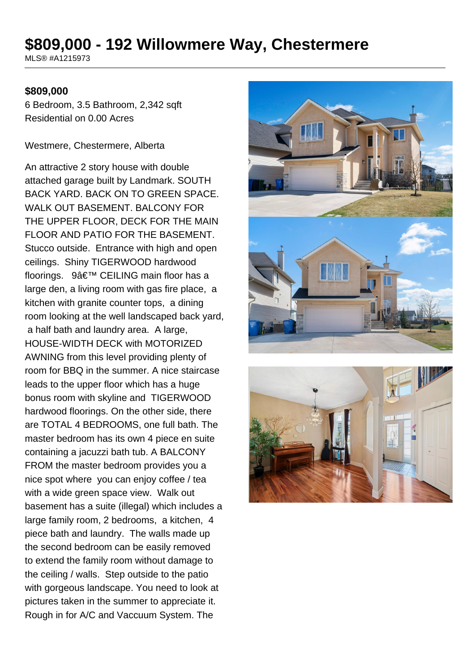# **\$809,000 - 192 Willowmere Way, Chestermere**

MLS® #A1215973

#### **\$809,000**

6 Bedroom, 3.5 Bathroom, 2,342 sqft Residential on 0.00 Acres

Westmere, Chestermere, Alberta

An attractive 2 story house with double attached garage built by Landmark. SOUTH BACK YARD. BACK ON TO GREEN SPACE. WALK OUT BASEMENT. BALCONY FOR THE UPPER FLOOR, DECK FOR THE MAIN FLOOR AND PATIO FOR THE BASEMENT. Stucco outside. Entrance with high and open ceilings. Shiny TIGERWOOD hardwood floorings. 9' CEILING main floor has a large den, a living room with gas fire place, a kitchen with granite counter tops, a dining room looking at the well landscaped back yard, a half bath and laundry area. A large, HOUSE-WIDTH DECK with MOTORIZED AWNING from this level providing plenty of room for BBQ in the summer. A nice staircase leads to the upper floor which has a huge bonus room with skyline and TIGERWOOD hardwood floorings. On the other side, there are TOTAL 4 BEDROOMS, one full bath. The master bedroom has its own 4 piece en suite containing a jacuzzi bath tub. A BALCONY FROM the master bedroom provides you a nice spot where you can enjoy coffee / tea with a wide green space view. Walk out basement has a suite (illegal) which includes a large family room, 2 bedrooms, a kitchen, 4 piece bath and laundry. The walls made up the second bedroom can be easily removed to extend the family room without damage to the ceiling / walls. Step outside to the patio with gorgeous landscape. You need to look at pictures taken in the summer to appreciate it. Rough in for A/C and Vaccuum System. The



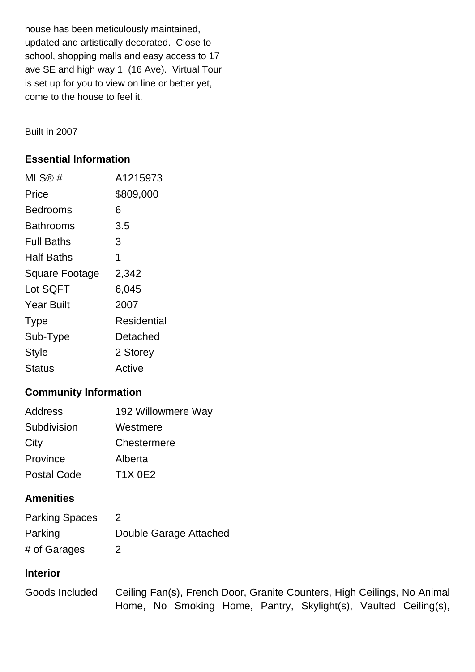house has been meticulously maintained, updated and artistically decorated. Close to school, shopping malls and easy access to 17 ave SE and high way 1 (16 Ave). Virtual Tour is set up for you to view on line or better yet, come to the house to feel it.

Built in 2007

#### **Essential Information**

| MLS@#                 | A1215973    |
|-----------------------|-------------|
| Price                 | \$809,000   |
| Bedrooms              | 6           |
| Bathrooms             | 3.5         |
| <b>Full Baths</b>     | 3           |
| Half Baths            | 1           |
| <b>Square Footage</b> | 2,342       |
| Lot SQFT              | 6,045       |
| <b>Year Built</b>     | 2007        |
| <b>Type</b>           | Residential |
| Sub-Type              | Detached    |
| <b>Style</b>          | 2 Storey    |
| Status                | Active      |

#### **Community Information**

| <b>Address</b>     | 192 Willowmere Way |
|--------------------|--------------------|
| Subdivision        | Westmere           |
| City               | Chestermere        |
| Province           | Alberta            |
| <b>Postal Code</b> | <b>T1X 0E2</b>     |

#### **Amenities**

| <b>Parking Spaces</b> |                        |
|-----------------------|------------------------|
| Parking               | Double Garage Attached |
| # of Garages          |                        |

#### **Interior**

| Goods Included |  |  | Ceiling Fan(s), French Door, Granite Counters, High Ceilings, No Animal |  |
|----------------|--|--|-------------------------------------------------------------------------|--|
|                |  |  | Home, No Smoking Home, Pantry, Skylight(s), Vaulted Ceiling(s),         |  |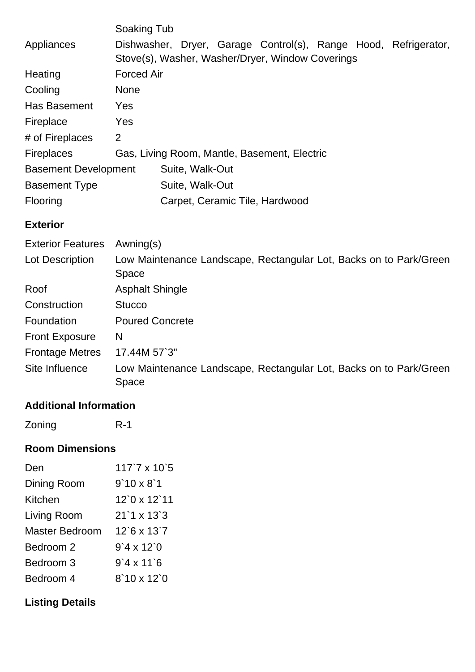|                             | Soaking Tub                                  |                                                  |  |  |  |  |                                                                 |
|-----------------------------|----------------------------------------------|--------------------------------------------------|--|--|--|--|-----------------------------------------------------------------|
| Appliances                  |                                              |                                                  |  |  |  |  | Dishwasher, Dryer, Garage Control(s), Range Hood, Refrigerator, |
|                             |                                              | Stove(s), Washer, Washer/Dryer, Window Coverings |  |  |  |  |                                                                 |
| Heating                     | <b>Forced Air</b>                            |                                                  |  |  |  |  |                                                                 |
| Cooling                     | <b>None</b>                                  |                                                  |  |  |  |  |                                                                 |
| <b>Has Basement</b>         | Yes                                          |                                                  |  |  |  |  |                                                                 |
| Fireplace                   | Yes                                          |                                                  |  |  |  |  |                                                                 |
| # of Fireplaces             | 2                                            |                                                  |  |  |  |  |                                                                 |
| <b>Fireplaces</b>           | Gas, Living Room, Mantle, Basement, Electric |                                                  |  |  |  |  |                                                                 |
| <b>Basement Development</b> | Suite, Walk-Out                              |                                                  |  |  |  |  |                                                                 |
| <b>Basement Type</b>        |                                              | Suite, Walk-Out                                  |  |  |  |  |                                                                 |
| <b>Flooring</b>             |                                              | Carpet, Ceramic Tile, Hardwood                   |  |  |  |  |                                                                 |
|                             |                                              |                                                  |  |  |  |  |                                                                 |

#### **Exterior**

| <b>Exterior Features</b> | Awning(s)                                                                   |
|--------------------------|-----------------------------------------------------------------------------|
| Lot Description          | Low Maintenance Landscape, Rectangular Lot, Backs on to Park/Green          |
|                          | Space                                                                       |
| Roof                     | <b>Asphalt Shingle</b>                                                      |
| Construction             | <b>Stucco</b>                                                               |
| Foundation               | <b>Poured Concrete</b>                                                      |
| <b>Front Exposure</b>    | N                                                                           |
| <b>Frontage Metres</b>   | 17.44M 57`3"                                                                |
| Site Influence           | Low Maintenance Landscape, Rectangular Lot, Backs on to Park/Green<br>Space |

## **Additional Information**

Zoning R-1

## **Room Dimensions**

| Den            | $117$ `7 x $10$ `5 |
|----------------|--------------------|
| Dining Room    | $9'10 \times 8'1$  |
| Kitchen        | 12`0 x 12`11       |
| Living Room    | $21'1 \times 13'3$ |
| Master Bedroom | $12$ 6 x 13 7      |
| Bedroom 2      | $9'4 \times 12'0$  |
| Bedroom 3      | $9'4 \times 11'6$  |
| Bedroom 4      | $8'10 \times 12'0$ |

# **Listing Details**